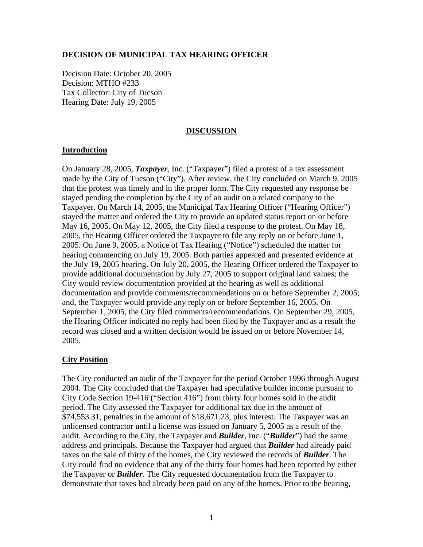### **DECISION OF MUNICIPAL TAX HEARING OFFICER**

Decision Date: October 20, 2005 Decision: MTHO #233 Tax Collector: City of Tucson Hearing Date: July 19, 2005

#### **DISCUSSION**

#### **Introduction**

On January 28, 2005, *Taxpayer*, Inc. ("Taxpayer") filed a protest of a tax assessment made by the City of Tucson ("City"). After review, the City concluded on March 9, 2005 that the protest was timely and in the proper form. The City requested any response be stayed pending the completion by the City of an audit on a related company to the Taxpayer. On March 14, 2005, the Municipal Tax Hearing Officer ("Hearing Officer") stayed the matter and ordered the City to provide an updated status report on or before May 16, 2005. On May 12, 2005, the City filed a response to the protest. On May 18, 2005, the Hearing Officer ordered the Taxpayer to file any reply on or before June 1, 2005. On June 9, 2005, a Notice of Tax Hearing ("Notice") scheduled the matter for hearing commencing on July 19, 2005. Both parties appeared and presented evidence at the July 19, 2005 hearing. On July 20, 2005, the Hearing Officer ordered the Taxpayer to provide additional documentation by July 27, 2005 to support original land values; the City would review documentation provided at the hearing as well as additional documentation and provide comments/recommendations on or before September 2, 2005; and, the Taxpayer would provide any reply on or before September 16, 2005. On September 1, 2005, the City filed comments/recommendations. On September 29, 2005, the Hearing Officer indicated no reply had been filed by the Taxpayer and as a result the record was closed and a written decision would be issued on or before November 14, 2005.

## **City Position**

The City conducted an audit of the Taxpayer for the period October 1996 through August 2004. The City concluded that the Taxpayer had speculative builder income pursuant to City Code Section 19-416 ("Section 416") from thirty four homes sold in the audit period. The City assessed the Taxpayer for additional tax due in the amount of \$74,553.31, penalties in the amount of \$18,671.23, plus interest. The Taxpayer was an unlicensed contractor until a license was issued on January 5, 2005 as a result of the audit. According to the City, the Taxpayer and *Builder*, Inc. ("*Builder*") had the same address and principals. Because the Taxpayer had argued that *Builder* had already paid taxes on the sale of thirty of the homes, the City reviewed the records of *Builder*. The City could find no evidence that any of the thirty four homes had been reported by either the Taxpayer or *Builder*. The City requested documentation from the Taxpayer to demonstrate that taxes had already been paid on any of the homes. Prior to the hearing,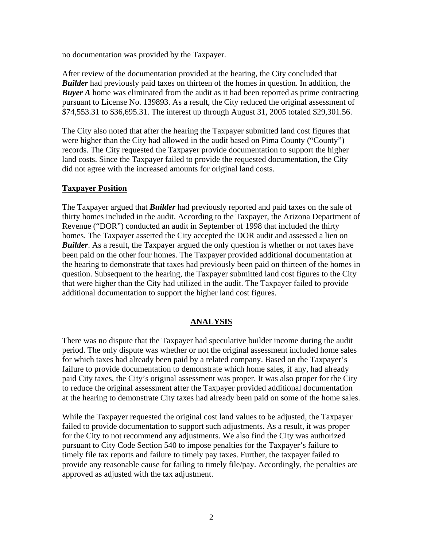no documentation was provided by the Taxpayer.

After review of the documentation provided at the hearing, the City concluded that *Builder* had previously paid taxes on thirteen of the homes in question. In addition, the *Buyer A* home was eliminated from the audit as it had been reported as prime contracting pursuant to License No. 139893. As a result, the City reduced the original assessment of \$74,553.31 to \$36,695.31. The interest up through August 31, 2005 totaled \$29,301.56.

The City also noted that after the hearing the Taxpayer submitted land cost figures that were higher than the City had allowed in the audit based on Pima County ("County") records. The City requested the Taxpayer provide documentation to support the higher land costs. Since the Taxpayer failed to provide the requested documentation, the City did not agree with the increased amounts for original land costs.

# **Taxpayer Position**

The Taxpayer argued that *Builder* had previously reported and paid taxes on the sale of thirty homes included in the audit. According to the Taxpayer, the Arizona Department of Revenue ("DOR") conducted an audit in September of 1998 that included the thirty homes. The Taxpayer asserted the City accepted the DOR audit and assessed a lien on *Builder*. As a result, the Taxpayer argued the only question is whether or not taxes have been paid on the other four homes. The Taxpayer provided additional documentation at the hearing to demonstrate that taxes had previously been paid on thirteen of the homes in question. Subsequent to the hearing, the Taxpayer submitted land cost figures to the City that were higher than the City had utilized in the audit. The Taxpayer failed to provide additional documentation to support the higher land cost figures.

# **ANALYSIS**

There was no dispute that the Taxpayer had speculative builder income during the audit period. The only dispute was whether or not the original assessment included home sales for which taxes had already been paid by a related company. Based on the Taxpayer's failure to provide documentation to demonstrate which home sales, if any, had already paid City taxes, the City's original assessment was proper. It was also proper for the City to reduce the original assessment after the Taxpayer provided additional documentation at the hearing to demonstrate City taxes had already been paid on some of the home sales.

While the Taxpayer requested the original cost land values to be adjusted, the Taxpayer failed to provide documentation to support such adjustments. As a result, it was proper for the City to not recommend any adjustments. We also find the City was authorized pursuant to City Code Section 540 to impose penalties for the Taxpayer's failure to timely file tax reports and failure to timely pay taxes. Further, the taxpayer failed to provide any reasonable cause for failing to timely file/pay. Accordingly, the penalties are approved as adjusted with the tax adjustment.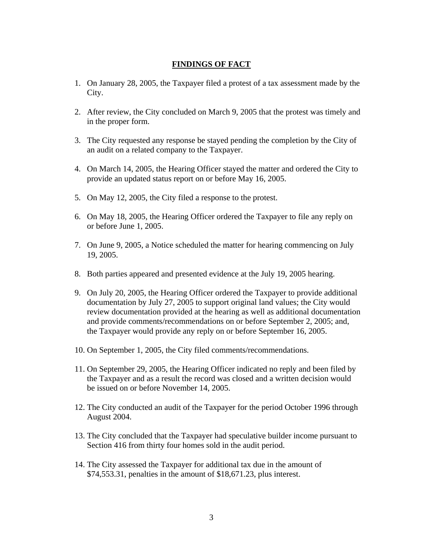## **FINDINGS OF FACT**

- 1. On January 28, 2005, the Taxpayer filed a protest of a tax assessment made by the City.
- 2. After review, the City concluded on March 9, 2005 that the protest was timely and in the proper form.
- 3. The City requested any response be stayed pending the completion by the City of an audit on a related company to the Taxpayer.
- 4. On March 14, 2005, the Hearing Officer stayed the matter and ordered the City to provide an updated status report on or before May 16, 2005.
- 5. On May 12, 2005, the City filed a response to the protest.
- 6. On May 18, 2005, the Hearing Officer ordered the Taxpayer to file any reply on or before June 1, 2005.
- 7. On June 9, 2005, a Notice scheduled the matter for hearing commencing on July 19, 2005.
- 8. Both parties appeared and presented evidence at the July 19, 2005 hearing.
- 9. On July 20, 2005, the Hearing Officer ordered the Taxpayer to provide additional documentation by July 27, 2005 to support original land values; the City would review documentation provided at the hearing as well as additional documentation and provide comments/recommendations on or before September 2, 2005; and, the Taxpayer would provide any reply on or before September 16, 2005.
- 10. On September 1, 2005, the City filed comments/recommendations.
- 11. On September 29, 2005, the Hearing Officer indicated no reply and been filed by the Taxpayer and as a result the record was closed and a written decision would be issued on or before November 14, 2005.
- 12. The City conducted an audit of the Taxpayer for the period October 1996 through August 2004.
- 13. The City concluded that the Taxpayer had speculative builder income pursuant to Section 416 from thirty four homes sold in the audit period.
- 14. The City assessed the Taxpayer for additional tax due in the amount of \$74,553.31, penalties in the amount of \$18,671.23, plus interest.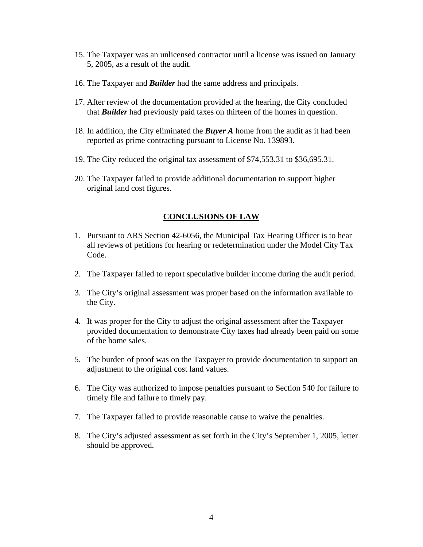- 15. The Taxpayer was an unlicensed contractor until a license was issued on January 5, 2005, as a result of the audit.
- 16. The Taxpayer and *Builder* had the same address and principals.
- 17. After review of the documentation provided at the hearing, the City concluded that *Builder* had previously paid taxes on thirteen of the homes in question.
- 18. In addition, the City eliminated the *Buyer A* home from the audit as it had been reported as prime contracting pursuant to License No. 139893.
- 19. The City reduced the original tax assessment of \$74,553.31 to \$36,695.31.
- 20. The Taxpayer failed to provide additional documentation to support higher original land cost figures.

#### **CONCLUSIONS OF LAW**

- 1. Pursuant to ARS Section 42-6056, the Municipal Tax Hearing Officer is to hear all reviews of petitions for hearing or redetermination under the Model City Tax Code.
- 2. The Taxpayer failed to report speculative builder income during the audit period.
- 3. The City's original assessment was proper based on the information available to the City.
- 4. It was proper for the City to adjust the original assessment after the Taxpayer provided documentation to demonstrate City taxes had already been paid on some of the home sales.
- 5. The burden of proof was on the Taxpayer to provide documentation to support an adjustment to the original cost land values.
- 6. The City was authorized to impose penalties pursuant to Section 540 for failure to timely file and failure to timely pay.
- 7. The Taxpayer failed to provide reasonable cause to waive the penalties.
- 8. The City's adjusted assessment as set forth in the City's September 1, 2005, letter should be approved.